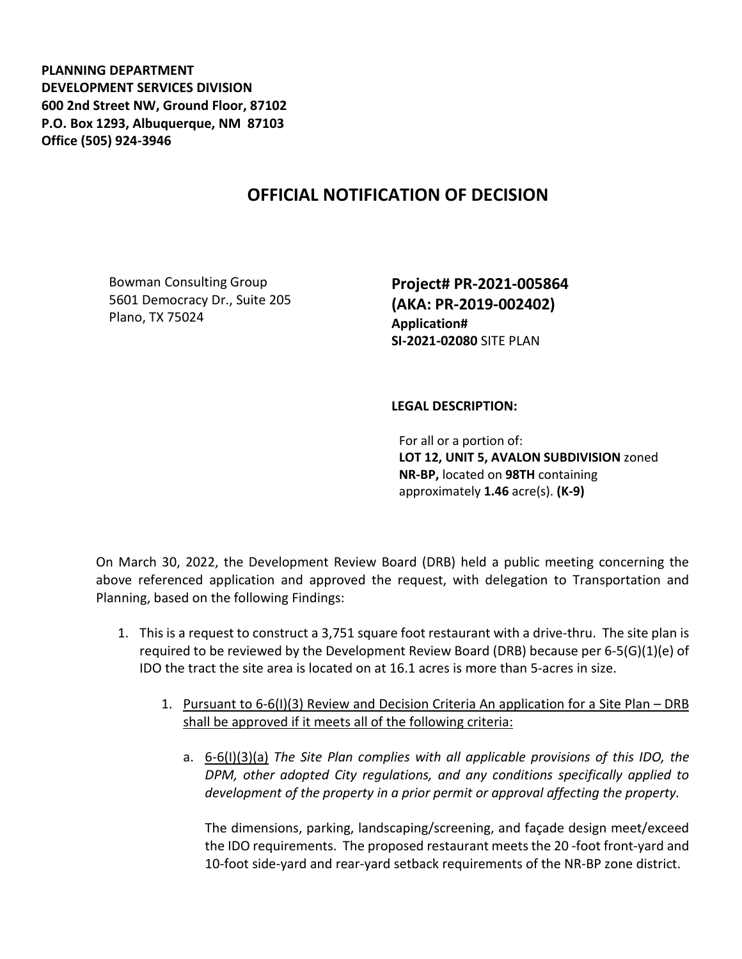**PLANNING DEPARTMENT DEVELOPMENT SERVICES DIVISION 600 2nd Street NW, Ground Floor, 87102 P.O. Box 1293, Albuquerque, NM 87103 Office (505) 924-3946** 

## **OFFICIAL NOTIFICATION OF DECISION**

Bowman Consulting Group 5601 Democracy Dr., Suite 205 Plano, TX 75024

**Project# PR-2021-005864 (AKA: PR-2019-002402) Application# SI-2021-02080** SITE PLAN

## **LEGAL DESCRIPTION:**

For all or a portion of: **LOT 12, UNIT 5, AVALON SUBDIVISION** zoned **NR-BP,** located on **98TH** containing approximately **1.46** acre(s). **(K-9)**

On March 30, 2022, the Development Review Board (DRB) held a public meeting concerning the above referenced application and approved the request, with delegation to Transportation and Planning, based on the following Findings:

- 1. This is a request to construct a 3,751 square foot restaurant with a drive-thru. The site plan is required to be reviewed by the Development Review Board (DRB) because per 6-5(G)(1)(e) of IDO the tract the site area is located on at 16.1 acres is more than 5-acres in size.
	- 1. Pursuant to 6-6(I)(3) Review and Decision Criteria An application for a Site Plan DRB shall be approved if it meets all of the following criteria:
		- a. 6-6(I)(3)(a) *The Site Plan complies with all applicable provisions of this IDO, the DPM, other adopted City regulations, and any conditions specifically applied to development of the property in a prior permit or approval affecting the property.*

The dimensions, parking, landscaping/screening, and façade design meet/exceed the IDO requirements. The proposed restaurant meets the 20 -foot front-yard and 10-foot side-yard and rear-yard setback requirements of the NR-BP zone district.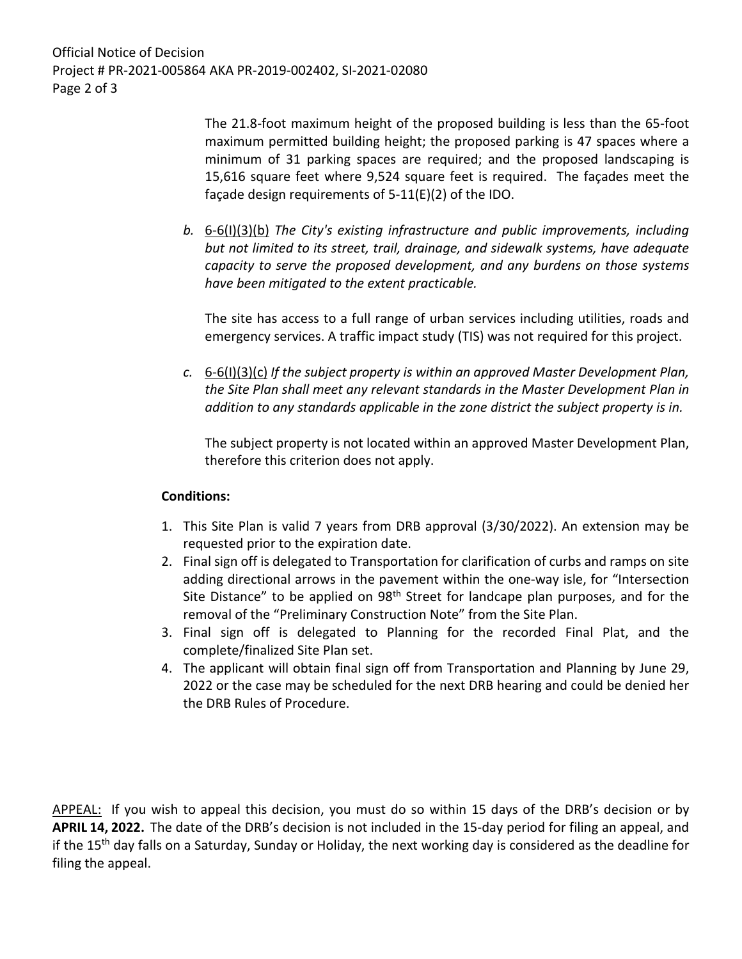The 21.8-foot maximum height of the proposed building is less than the 65-foot maximum permitted building height; the proposed parking is 47 spaces where a minimum of 31 parking spaces are required; and the proposed landscaping is 15,616 square feet where 9,524 square feet is required. The façades meet the façade design requirements of 5-11(E)(2) of the IDO.

*b.* 6-6(I)(3)(b) *The City's existing infrastructure and public improvements, including but not limited to its street, trail, drainage, and sidewalk systems, have adequate capacity to serve the proposed development, and any burdens on those systems have been mitigated to the extent practicable.* 

The site has access to a full range of urban services including utilities, roads and emergency services. A traffic impact study (TIS) was not required for this project.

*c.* 6-6(I)(3)(c) *If the subject property is within an approved Master Development Plan, the Site Plan shall meet any relevant standards in the Master Development Plan in addition to any standards applicable in the zone district the subject property is in.* 

The subject property is not located within an approved Master Development Plan, therefore this criterion does not apply.

## **Conditions:**

- 1. This Site Plan is valid 7 years from DRB approval (3/30/2022). An extension may be requested prior to the expiration date.
- 2. Final sign off is delegated to Transportation for clarification of curbs and ramps on site adding directional arrows in the pavement within the one-way isle, for "Intersection Site Distance" to be applied on 98<sup>th</sup> Street for landcape plan purposes, and for the removal of the "Preliminary Construction Note" from the Site Plan.
- 3. Final sign off is delegated to Planning for the recorded Final Plat, and the complete/finalized Site Plan set.
- 4. The applicant will obtain final sign off from Transportation and Planning by June 29, 2022 or the case may be scheduled for the next DRB hearing and could be denied her the DRB Rules of Procedure.

APPEAL: If you wish to appeal this decision, you must do so within 15 days of the DRB's decision or by **APRIL 14, 2022.** The date of the DRB's decision is not included in the 15-day period for filing an appeal, and if the 15<sup>th</sup> day falls on a Saturday, Sunday or Holiday, the next working day is considered as the deadline for filing the appeal.